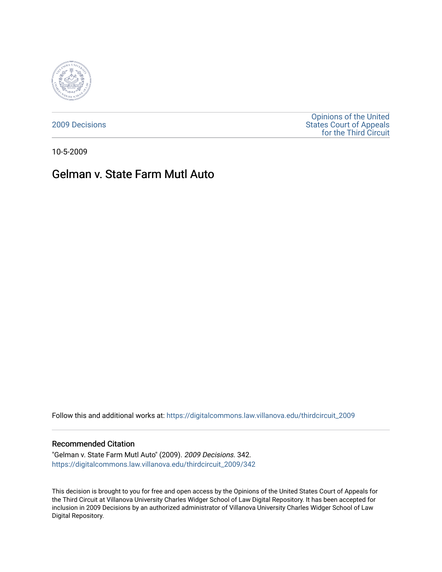

[2009 Decisions](https://digitalcommons.law.villanova.edu/thirdcircuit_2009)

[Opinions of the United](https://digitalcommons.law.villanova.edu/thirdcircuit)  [States Court of Appeals](https://digitalcommons.law.villanova.edu/thirdcircuit)  [for the Third Circuit](https://digitalcommons.law.villanova.edu/thirdcircuit) 

10-5-2009

# Gelman v. State Farm Mutl Auto

Follow this and additional works at: [https://digitalcommons.law.villanova.edu/thirdcircuit\\_2009](https://digitalcommons.law.villanova.edu/thirdcircuit_2009?utm_source=digitalcommons.law.villanova.edu%2Fthirdcircuit_2009%2F342&utm_medium=PDF&utm_campaign=PDFCoverPages) 

#### Recommended Citation

"Gelman v. State Farm Mutl Auto" (2009). 2009 Decisions. 342. [https://digitalcommons.law.villanova.edu/thirdcircuit\\_2009/342](https://digitalcommons.law.villanova.edu/thirdcircuit_2009/342?utm_source=digitalcommons.law.villanova.edu%2Fthirdcircuit_2009%2F342&utm_medium=PDF&utm_campaign=PDFCoverPages)

This decision is brought to you for free and open access by the Opinions of the United States Court of Appeals for the Third Circuit at Villanova University Charles Widger School of Law Digital Repository. It has been accepted for inclusion in 2009 Decisions by an authorized administrator of Villanova University Charles Widger School of Law Digital Repository.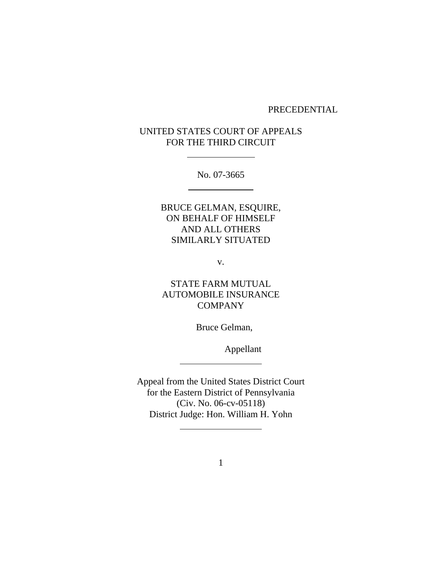#### PRECEDENTIAL

# UNITED STATES COURT OF APPEALS FOR THE THIRD CIRCUIT

 $\overline{a}$ 

 $\overline{a}$ 

 $\overline{a}$ 

 $\overline{a}$ 

No. 07-3665

BRUCE GELMAN, ESQUIRE, ON BEHALF OF HIMSELF AND ALL OTHERS SIMILARLY SITUATED

v.

STATE FARM MUTUAL AUTOMOBILE INSURANCE COMPANY

Bruce Gelman,

Appellant

Appeal from the United States District Court for the Eastern District of Pennsylvania (Civ. No. 06-cv-05118) District Judge: Hon. William H. Yohn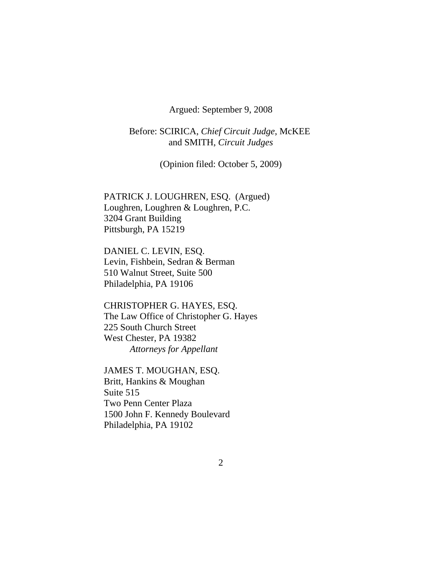Argued: September 9, 2008

Before: SCIRICA, *Chief Circuit Judge*, McKEE and SMITH, *Circuit Judges*

(Opinion filed: October 5, 2009)

PATRICK J. LOUGHREN, ESQ. (Argued) Loughren, Loughren & Loughren, P.C. 3204 Grant Building Pittsburgh, PA 15219

DANIEL C. LEVIN, ESQ. Levin, Fishbein, Sedran & Berman 510 Walnut Street, Suite 500 Philadelphia, PA 19106

CHRISTOPHER G. HAYES, ESQ. The Law Office of Christopher G. Hayes 225 South Church Street West Chester, PA 19382 *Attorneys for Appellant*

JAMES T. MOUGHAN, ESQ. Britt, Hankins & Moughan Suite 515 Two Penn Center Plaza 1500 John F. Kennedy Boulevard Philadelphia, PA 19102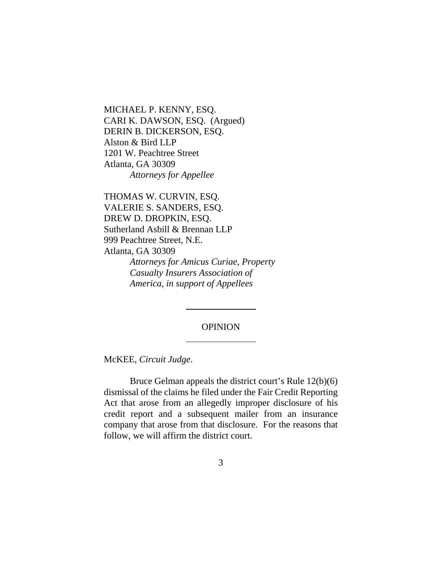MICHAEL P. KENNY, ESQ. CARI K. DAWSON, ESQ. (Argued) DERIN B. DICKERSON, ESQ. Alston & Bird LLP 1201 W. Peachtree Street Atlanta, GA 30309 *Attorneys for Appellee*

THOMAS W. CURVIN, ESQ. VALERIE S. SANDERS, ESQ. DREW D. DROPKIN, ESQ. Sutherland Asbill & Brennan LLP 999 Peachtree Street, N.E. Atlanta, GA 30309 *Attorneys for Amicus Curiae, Property Casualty Insurers Association of America, in support of Appellees*

 $\overline{a}$ 

 $\overline{a}$ 

## **OPINION**

McKEE, *Circuit Judge*.

Bruce Gelman appeals the district court's Rule 12(b)(6) dismissal of the claims he filed under the Fair Credit Reporting Act that arose from an allegedly improper disclosure of his credit report and a subsequent mailer from an insurance company that arose from that disclosure. For the reasons that follow, we will affirm the district court.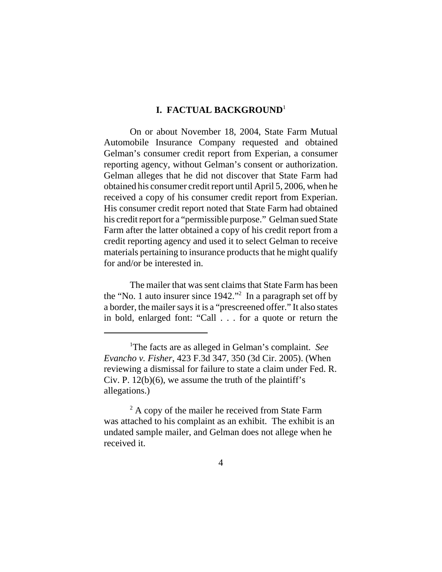## **I. FACTUAL BACKGROUND**<sup>1</sup>

On or about November 18, 2004, State Farm Mutual Automobile Insurance Company requested and obtained Gelman's consumer credit report from Experian, a consumer reporting agency, without Gelman's consent or authorization. Gelman alleges that he did not discover that State Farm had obtained his consumer credit report until April 5, 2006, when he received a copy of his consumer credit report from Experian. His consumer credit report noted that State Farm had obtained his credit report for a "permissible purpose." Gelman sued State Farm after the latter obtained a copy of his credit report from a credit reporting agency and used it to select Gelman to receive materials pertaining to insurance products that he might qualify for and/or be interested in.

The mailer that was sent claims that State Farm has been the "No. 1 auto insurer since 1942."2 In a paragraph set off by a border, the mailer says it is a "prescreened offer." It also states in bold, enlarged font: "Call . . . for a quote or return the

<sup>1</sup> The facts are as alleged in Gelman's complaint. *See Evancho v. Fisher*, 423 F.3d 347, 350 (3d Cir. 2005). (When reviewing a dismissal for failure to state a claim under Fed. R. Civ. P.  $12(b)(6)$ , we assume the truth of the plaintiff's allegations.)

<sup>&</sup>lt;sup>2</sup> A copy of the mailer he received from State Farm was attached to his complaint as an exhibit. The exhibit is an undated sample mailer, and Gelman does not allege when he received it.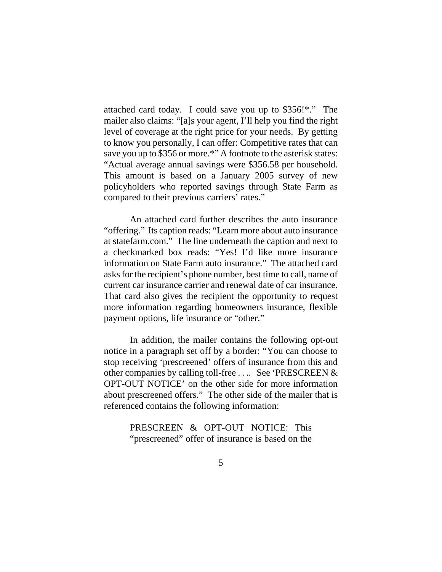attached card today. I could save you up to \$356!\*." The mailer also claims: "[a]s your agent, I'll help you find the right level of coverage at the right price for your needs. By getting to know you personally, I can offer: Competitive rates that can save you up to \$356 or more.\*" A footnote to the asterisk states: "Actual average annual savings were \$356.58 per household. This amount is based on a January 2005 survey of new policyholders who reported savings through State Farm as compared to their previous carriers' rates."

An attached card further describes the auto insurance "offering." Its caption reads: "Learn more about auto insurance at statefarm.com." The line underneath the caption and next to a checkmarked box reads: "Yes! I'd like more insurance information on State Farm auto insurance." The attached card asks for the recipient's phone number, best time to call, name of current car insurance carrier and renewal date of car insurance. That card also gives the recipient the opportunity to request more information regarding homeowners insurance, flexible payment options, life insurance or "other."

In addition, the mailer contains the following opt-out notice in a paragraph set off by a border: "You can choose to stop receiving 'prescreened' offers of insurance from this and other companies by calling toll-free . . .. See 'PRESCREEN & OPT-OUT NOTICE' on the other side for more information about prescreened offers." The other side of the mailer that is referenced contains the following information:

> PRESCREEN & OPT-OUT NOTICE: This "prescreened" offer of insurance is based on the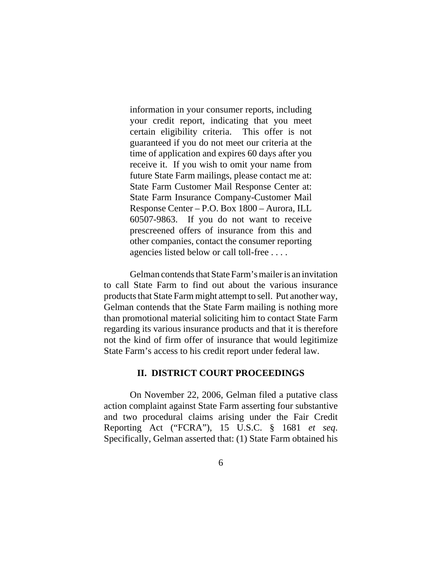information in your consumer reports, including your credit report, indicating that you meet certain eligibility criteria. This offer is not guaranteed if you do not meet our criteria at the time of application and expires 60 days after you receive it. If you wish to omit your name from future State Farm mailings, please contact me at: State Farm Customer Mail Response Center at: State Farm Insurance Company-Customer Mail Response Center – P.O. Box 1800 – Aurora, ILL 60507-9863. If you do not want to receive prescreened offers of insurance from this and other companies, contact the consumer reporting agencies listed below or call toll-free . . . .

Gelman contends that State Farm's mailer is an invitation to call State Farm to find out about the various insurance products that State Farm might attempt to sell. Put another way, Gelman contends that the State Farm mailing is nothing more than promotional material soliciting him to contact State Farm regarding its various insurance products and that it is therefore not the kind of firm offer of insurance that would legitimize State Farm's access to his credit report under federal law.

#### **II. DISTRICT COURT PROCEEDINGS**

On November 22, 2006, Gelman filed a putative class action complaint against State Farm asserting four substantive and two procedural claims arising under the Fair Credit Reporting Act ("FCRA"), 15 U.S.C. § 1681 *et seq*. Specifically, Gelman asserted that: (1) State Farm obtained his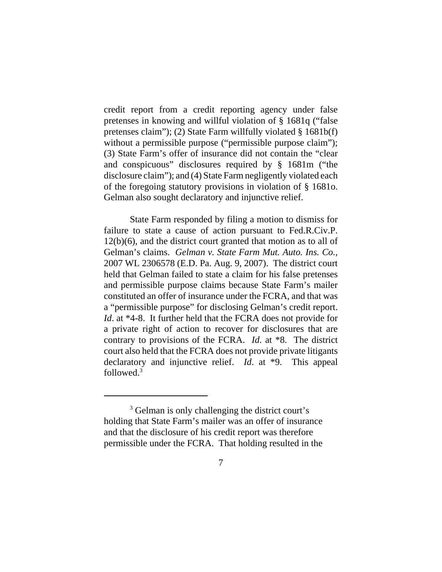credit report from a credit reporting agency under false pretenses in knowing and willful violation of § 1681q ("false pretenses claim"); (2) State Farm willfully violated § 1681b(f) without a permissible purpose ("permissible purpose claim"); (3) State Farm's offer of insurance did not contain the "clear and conspicuous" disclosures required by § 1681m ("the disclosure claim"); and (4) State Farm negligently violated each of the foregoing statutory provisions in violation of § 1681o. Gelman also sought declaratory and injunctive relief.

State Farm responded by filing a motion to dismiss for failure to state a cause of action pursuant to Fed.R.Civ.P. 12(b)(6), and the district court granted that motion as to all of Gelman's claims. *Gelman v. State Farm Mut. Auto. Ins. Co.*, 2007 WL 2306578 (E.D. Pa. Aug. 9, 2007). The district court held that Gelman failed to state a claim for his false pretenses and permissible purpose claims because State Farm's mailer constituted an offer of insurance under the FCRA, and that was a "permissible purpose" for disclosing Gelman's credit report. *Id*. at \*4-8. It further held that the FCRA does not provide for a private right of action to recover for disclosures that are contrary to provisions of the FCRA. *Id*. at \*8. The district court also held that the FCRA does not provide private litigants declaratory and injunctive relief. *Id*. at \*9. This appeal followed.3

<sup>&</sup>lt;sup>3</sup> Gelman is only challenging the district court's holding that State Farm's mailer was an offer of insurance and that the disclosure of his credit report was therefore permissible under the FCRA. That holding resulted in the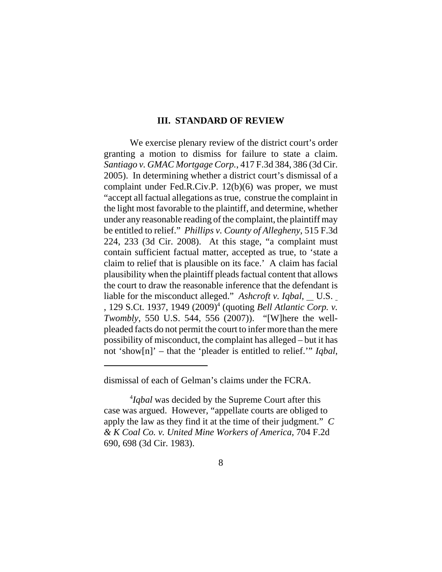#### **III. STANDARD OF REVIEW**

We exercise plenary review of the district court's order granting a motion to dismiss for failure to state a claim. *Santiago v. GMAC Mortgage Corp.*, 417 F.3d 384, 386 (3d Cir. 2005). In determining whether a district court's dismissal of a complaint under Fed.R.Civ.P. 12(b)(6) was proper, we must "accept all factual allegations as true, construe the complaint in the light most favorable to the plaintiff, and determine, whether under any reasonable reading of the complaint, the plaintiff may be entitled to relief." *Phillips v. County of Allegheny*, 515 F.3d 224, 233 (3d Cir. 2008). At this stage, "a complaint must contain sufficient factual matter, accepted as true, to 'state a claim to relief that is plausible on its face.' A claim has facial plausibility when the plaintiff pleads factual content that allows the court to draw the reasonable inference that the defendant is liable for the misconduct alleged." *Ashcroft v. Iqbal*, U.S. , 129 S.Ct. 1937, 1949 (2009)4 (quoting *Bell Atlantic Corp. v. Twombly*, 550 U.S. 544, 556 (2007)). "[W]here the wellpleaded facts do not permit the court to infer more than the mere possibility of misconduct, the complaint has alleged – but it has not 'show[n]' – that the 'pleader is entitled to relief.'" *Iqbal*,

dismissal of each of Gelman's claims under the FCRA.

<sup>4</sup> *Iqbal* was decided by the Supreme Court after this case was argued. However, "appellate courts are obliged to apply the law as they find it at the time of their judgment." *C & K Coal Co. v. United Mine Workers of America*, 704 F.2d 690, 698 (3d Cir. 1983).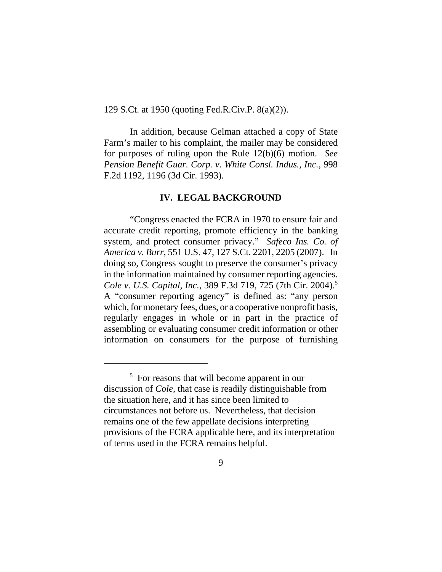129 S.Ct. at 1950 (quoting Fed.R.Civ.P. 8(a)(2)).

In addition, because Gelman attached a copy of State Farm's mailer to his complaint, the mailer may be considered for purposes of ruling upon the Rule 12(b)(6) motion. *See Pension Benefit Guar. Corp. v. White Consl. Indus., Inc.*, 998 F.2d 1192, 1196 (3d Cir. 1993).

#### **IV. LEGAL BACKGROUND**

"Congress enacted the FCRA in 1970 to ensure fair and accurate credit reporting, promote efficiency in the banking system, and protect consumer privacy." *Safeco Ins. Co. of America v. Burr*, 551 U.S. 47, 127 S.Ct. 2201, 2205 (2007). In doing so, Congress sought to preserve the consumer's privacy in the information maintained by consumer reporting agencies. *Cole v. U.S. Capital, Inc.*, 389 F.3d 719, 725 (7th Cir. 2004).5 A "consumer reporting agency" is defined as: "any person which, for monetary fees, dues, or a cooperative nonprofit basis, regularly engages in whole or in part in the practice of assembling or evaluating consumer credit information or other information on consumers for the purpose of furnishing

<sup>&</sup>lt;sup>5</sup> For reasons that will become apparent in our discussion of *Cole,* that case is readily distinguishable from the situation here, and it has since been limited to circumstances not before us. Nevertheless, that decision remains one of the few appellate decisions interpreting provisions of the FCRA applicable here, and its interpretation of terms used in the FCRA remains helpful.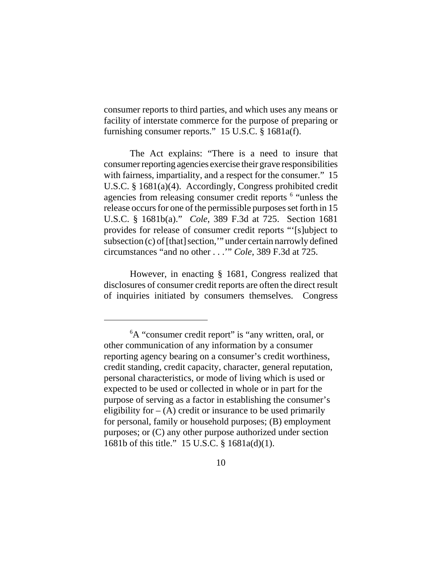consumer reports to third parties, and which uses any means or facility of interstate commerce for the purpose of preparing or furnishing consumer reports." 15 U.S.C. § 1681a(f).

The Act explains: "There is a need to insure that consumer reporting agencies exercise their grave responsibilities with fairness, impartiality, and a respect for the consumer." 15 U.S.C. § 1681(a)(4). Accordingly, Congress prohibited credit agencies from releasing consumer credit reports <sup>6</sup> "unless the release occurs for one of the permissible purposes set forth in 15 U.S.C. § 1681b(a)." *Cole*, 389 F.3d at 725. Section 1681 provides for release of consumer credit reports "'[s]ubject to subsection (c) of [that] section,'" under certain narrowly defined circumstances "and no other . . .'" *Cole*, 389 F.3d at 725.

However, in enacting § 1681, Congress realized that disclosures of consumer credit reports are often the direct result of inquiries initiated by consumers themselves. Congress

<sup>&</sup>lt;sup>6</sup>A "consumer credit report" is "any written, oral, or other communication of any information by a consumer reporting agency bearing on a consumer's credit worthiness, credit standing, credit capacity, character, general reputation, personal characteristics, or mode of living which is used or expected to be used or collected in whole or in part for the purpose of serving as a factor in establishing the consumer's eligibility for  $-$  (A) credit or insurance to be used primarily for personal, family or household purposes; (B) employment purposes; or (C) any other purpose authorized under section 1681b of this title." 15 U.S.C. § 1681a(d)(1).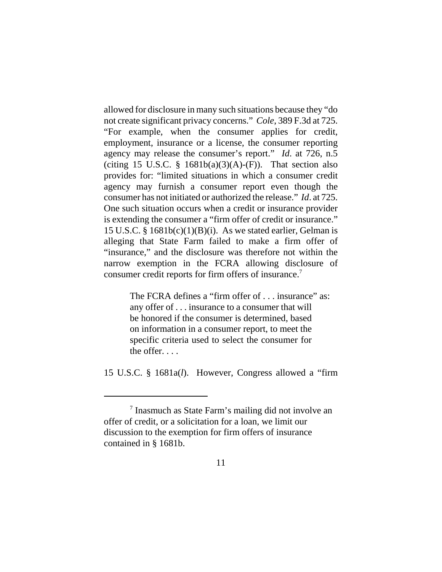allowed for disclosure in many such situations because they "do not create significant privacy concerns." *Cole*, 389 F.3d at 725. "For example, when the consumer applies for credit, employment, insurance or a license, the consumer reporting agency may release the consumer's report." *Id*. at 726, n.5 (citing 15 U.S.C. § 1681b(a)(3)(A)-(F)). That section also provides for: "limited situations in which a consumer credit agency may furnish a consumer report even though the consumer has not initiated or authorized the release." *Id*. at 725. One such situation occurs when a credit or insurance provider is extending the consumer a "firm offer of credit or insurance." 15 U.S.C. §  $1681b(c)(1)(B)(i)$ . As we stated earlier, Gelman is alleging that State Farm failed to make a firm offer of "insurance," and the disclosure was therefore not within the narrow exemption in the FCRA allowing disclosure of consumer credit reports for firm offers of insurance.7

> The FCRA defines a "firm offer of . . . insurance" as: any offer of . . . insurance to a consumer that will be honored if the consumer is determined, based on information in a consumer report, to meet the specific criteria used to select the consumer for the offer. . . .

15 U.S.C. § 1681a(*l*). However, Congress allowed a "firm

<sup>&</sup>lt;sup>7</sup> Inasmuch as State Farm's mailing did not involve an offer of credit, or a solicitation for a loan, we limit our discussion to the exemption for firm offers of insurance contained in § 1681b.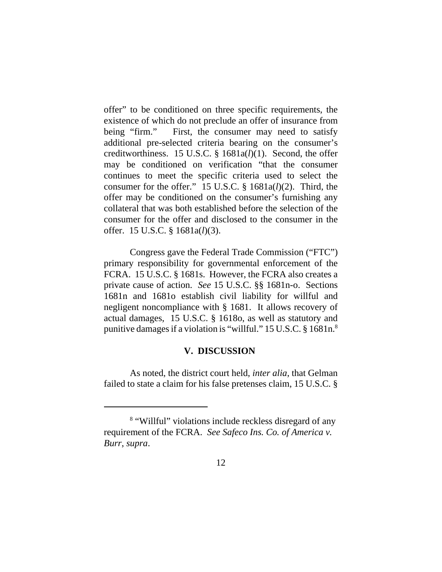offer" to be conditioned on three specific requirements, the existence of which do not preclude an offer of insurance from being "firm." First, the consumer may need to satisfy additional pre-selected criteria bearing on the consumer's creditworthiness. 15 U.S.C. § 1681a(*l*)(1). Second, the offer may be conditioned on verification "that the consumer continues to meet the specific criteria used to select the consumer for the offer." 15 U.S.C. § 1681a(*l*)(2). Third, the offer may be conditioned on the consumer's furnishing any collateral that was both established before the selection of the consumer for the offer and disclosed to the consumer in the offer. 15 U.S.C. § 1681a(*l*)(3).

Congress gave the Federal Trade Commission ("FTC") primary responsibility for governmental enforcement of the FCRA. 15 U.S.C. § 1681s. However, the FCRA also creates a private cause of action. *See* 15 U.S.C. §§ 1681n-o. Sections 1681n and 1681o establish civil liability for willful and negligent noncompliance with § 1681. It allows recovery of actual damages, 15 U.S.C. § 1618o, as well as statutory and punitive damages if a violation is "willful." 15 U.S.C. § 1681n.8

## **V. DISCUSSION**

As noted, the district court held, *inter alia*, that Gelman failed to state a claim for his false pretenses claim, 15 U.S.C. §

<sup>8</sup> "Willful" violations include reckless disregard of any requirement of the FCRA. *See Safeco Ins. Co. of America v. Burr*, *supra*.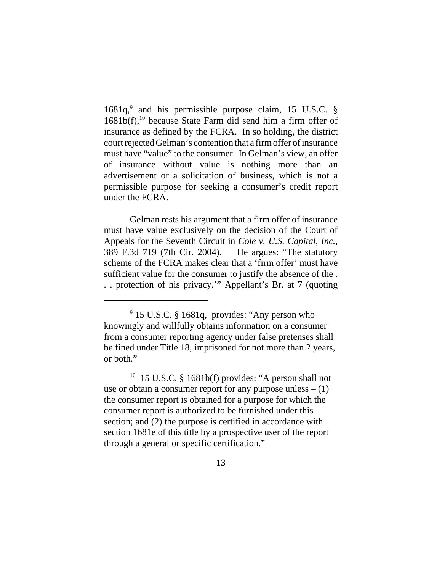1681q,<sup>9</sup> and his permissible purpose claim, 15 U.S.C. §  $1681b(f),<sup>10</sup>$  because State Farm did send him a firm offer of insurance as defined by the FCRA. In so holding, the district court rejected Gelman's contention that a firm offer of insurance must have "value" to the consumer. In Gelman's view, an offer of insurance without value is nothing more than an advertisement or a solicitation of business, which is not a permissible purpose for seeking a consumer's credit report under the FCRA.

Gelman rests his argument that a firm offer of insurance must have value exclusively on the decision of the Court of Appeals for the Seventh Circuit in *Cole v. U.S. Capital, Inc.*, 389 F.3d 719 (7th Cir. 2004). He argues: "The statutory scheme of the FCRA makes clear that a 'firm offer' must have sufficient value for the consumer to justify the absence of the . . . protection of his privacy.'" Appellant's Br. at 7 (quoting

 $10$  15 U.S.C. § 1681b(f) provides: "A person shall not use or obtain a consumer report for any purpose unless  $- (1)$ the consumer report is obtained for a purpose for which the consumer report is authorized to be furnished under this section; and (2) the purpose is certified in accordance with section 1681e of this title by a prospective user of the report through a general or specific certification."

<sup>&</sup>lt;sup>9</sup> 15 U.S.C. § 1681q, provides: "Any person who knowingly and willfully obtains information on a consumer from a consumer reporting agency under false pretenses shall be fined under Title 18, imprisoned for not more than 2 years, or both."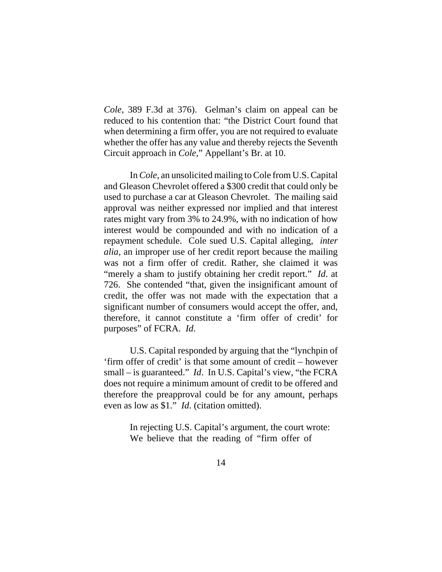*Cole*, 389 F.3d at 376). Gelman's claim on appeal can be reduced to his contention that: "the District Court found that when determining a firm offer, you are not required to evaluate whether the offer has any value and thereby rejects the Seventh Circuit approach in *Cole*," Appellant's Br. at 10.

In *Cole*, an unsolicited mailing to Cole from U.S. Capital and Gleason Chevrolet offered a \$300 credit that could only be used to purchase a car at Gleason Chevrolet. The mailing said approval was neither expressed nor implied and that interest rates might vary from 3% to 24.9%, with no indication of how interest would be compounded and with no indication of a repayment schedule. Cole sued U.S. Capital alleging, *inter alia*, an improper use of her credit report because the mailing was not a firm offer of credit. Rather, she claimed it was "merely a sham to justify obtaining her credit report." *Id*. at 726. She contended "that, given the insignificant amount of credit, the offer was not made with the expectation that a significant number of consumers would accept the offer, and, therefore, it cannot constitute a 'firm offer of credit' for purposes" of FCRA. *Id*.

U.S. Capital responded by arguing that the "lynchpin of 'firm offer of credit' is that some amount of credit – however small – is guaranteed." *Id*. In U.S. Capital's view, "the FCRA does not require a minimum amount of credit to be offered and therefore the preapproval could be for any amount, perhaps even as low as \$1." *Id*. (citation omitted).

> In rejecting U.S. Capital's argument, the court wrote: We believe that the reading of "firm offer of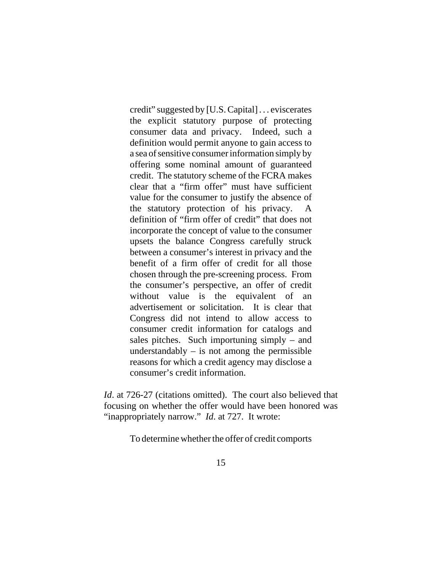credit" suggested by [U.S. Capital] . . . eviscerates the explicit statutory purpose of protecting consumer data and privacy. Indeed, such a definition would permit anyone to gain access to a sea of sensitive consumer information simply by offering some nominal amount of guaranteed credit. The statutory scheme of the FCRA makes clear that a "firm offer" must have sufficient value for the consumer to justify the absence of the statutory protection of his privacy. A definition of "firm offer of credit" that does not incorporate the concept of value to the consumer upsets the balance Congress carefully struck between a consumer's interest in privacy and the benefit of a firm offer of credit for all those chosen through the pre-screening process. From the consumer's perspective, an offer of credit without value is the equivalent of an advertisement or solicitation. It is clear that Congress did not intend to allow access to consumer credit information for catalogs and sales pitches. Such importuning simply – and understandably  $-$  is not among the permissible reasons for which a credit agency may disclose a consumer's credit information.

*Id.* at 726-27 (citations omitted). The court also believed that focusing on whether the offer would have been honored was "inappropriately narrow." *Id.* at 727. It wrote:

To determine whether the offer of credit comports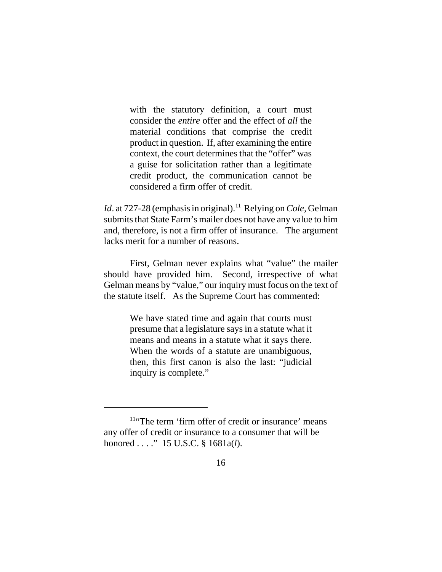with the statutory definition, a court must consider the *entire* offer and the effect of *all* the material conditions that comprise the credit product in question. If, after examining the entire context, the court determines that the "offer" was a guise for solicitation rather than a legitimate credit product, the communication cannot be considered a firm offer of credit.

*Id.* at 727-28 (emphasis in original).<sup>11</sup> Relying on *Cole*, Gelman submits that State Farm's mailer does not have any value to him and, therefore, is not a firm offer of insurance. The argument lacks merit for a number of reasons.

First, Gelman never explains what "value" the mailer should have provided him. Second, irrespective of what Gelman means by "value," our inquiry must focus on the text of the statute itself. As the Supreme Court has commented:

> We have stated time and again that courts must presume that a legislature says in a statute what it means and means in a statute what it says there. When the words of a statute are unambiguous, then, this first canon is also the last: "judicial inquiry is complete."

<sup>11&</sup>quot;The term 'firm offer of credit or insurance' means any offer of credit or insurance to a consumer that will be honored . . . ." 15 U.S.C. § 1681a(*l*).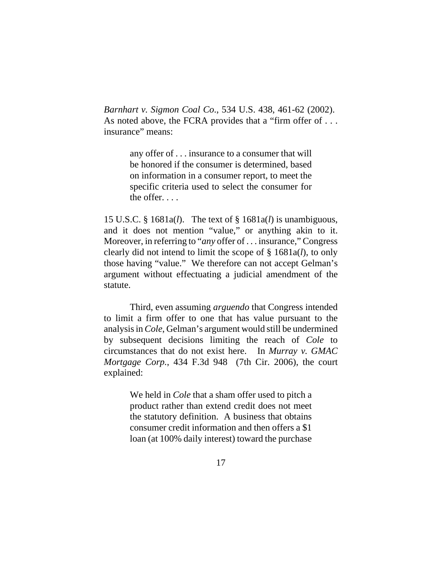*Barnhart v. Sigmon Coal Co*., 534 U.S. 438, 461-62 (2002). As noted above, the FCRA provides that a "firm offer of ... insurance" means:

> any offer of . . . insurance to a consumer that will be honored if the consumer is determined, based on information in a consumer report, to meet the specific criteria used to select the consumer for the offer. . . .

15 U.S.C. § 1681a(*l*). The text of § 1681a(*l*) is unambiguous, and it does not mention "value," or anything akin to it. Moreover, in referring to "*any* offer of . . . insurance," Congress clearly did not intend to limit the scope of § 1681a(*l*), to only those having "value." We therefore can not accept Gelman's argument without effectuating a judicial amendment of the statute.

Third, even assuming *arguendo* that Congress intended to limit a firm offer to one that has value pursuant to the analysis in *Cole*, Gelman's argument would still be undermined by subsequent decisions limiting the reach of *Cole* to circumstances that do not exist here. In *Murray v. GMAC Mortgage Corp.*, 434 F.3d 948 (7th Cir. 2006), the court explained:

> We held in *Cole* that a sham offer used to pitch a product rather than extend credit does not meet the statutory definition. A business that obtains consumer credit information and then offers a \$1 loan (at 100% daily interest) toward the purchase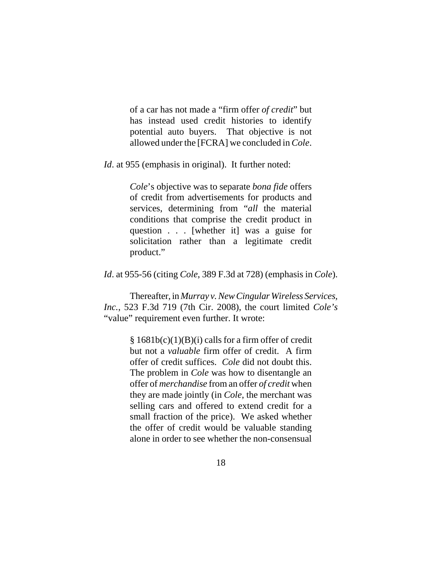of a car has not made a "firm offer *of credit*" but has instead used credit histories to identify potential auto buyers. That objective is not allowed under the [FCRA] we concluded in *Cole*.

*Id.* at 955 (emphasis in original). It further noted:

*Cole*'s objective was to separate *bona fide* offers of credit from advertisements for products and services, determining from "*all* the material conditions that comprise the credit product in question . . . [whether it] was a guise for solicitation rather than a legitimate credit product."

*Id*. at 955-56 (citing *Cole*, 389 F.3d at 728) (emphasis in *Cole*).

Thereafter, in *Murray v. New Cingular Wireless Services, Inc.*, 523 F.3d 719 (7th Cir. 2008), the court limited *Cole's* "value" requirement even further. It wrote:

> $§ 1681b(c)(1)(B)(i)$  calls for a firm offer of credit but not a *valuable* firm offer of credit. A firm offer of credit suffices. *Cole* did not doubt this. The problem in *Cole* was how to disentangle an offer of *merchandise* from an offer *of credit* when they are made jointly (in *Cole*, the merchant was selling cars and offered to extend credit for a small fraction of the price). We asked whether the offer of credit would be valuable standing alone in order to see whether the non-consensual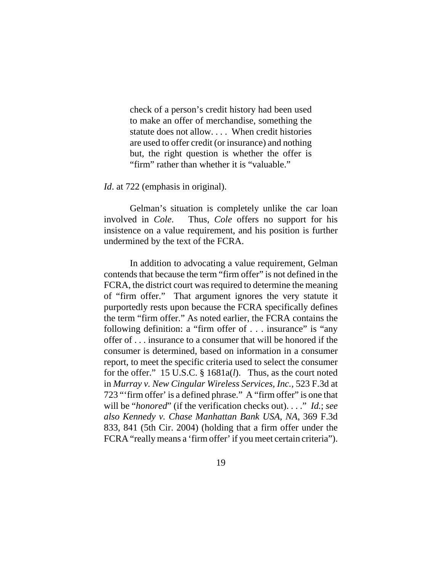check of a person's credit history had been used to make an offer of merchandise, something the statute does not allow. . . . When credit histories are used to offer credit (or insurance) and nothing but, the right question is whether the offer is "firm" rather than whether it is "valuable."

*Id.* at 722 (emphasis in original).

Gelman's situation is completely unlike the car loan involved in *Cole*. Thus, *Cole* offers no support for his insistence on a value requirement, and his position is further undermined by the text of the FCRA.

In addition to advocating a value requirement, Gelman contends that because the term "firm offer" is not defined in the FCRA, the district court was required to determine the meaning of "firm offer." That argument ignores the very statute it purportedly rests upon because the FCRA specifically defines the term "firm offer." As noted earlier, the FCRA contains the following definition: a "firm offer of . . . insurance" is "any offer of . . . insurance to a consumer that will be honored if the consumer is determined, based on information in a consumer report, to meet the specific criteria used to select the consumer for the offer." 15 U.S.C. § 1681a(*l*). Thus, as the court noted in *Murray v. New Cingular Wireless Services, Inc.*, 523 F.3d at 723 "'firm offer' is a defined phrase." A "firm offer" is one that will be "*honored*" (if the verification checks out). . . ." *Id.*; *see also Kennedy v. Chase Manhattan Bank USA, NA*, 369 F.3d 833, 841 (5th Cir. 2004) (holding that a firm offer under the FCRA "really means a 'firm offer' if you meet certain criteria").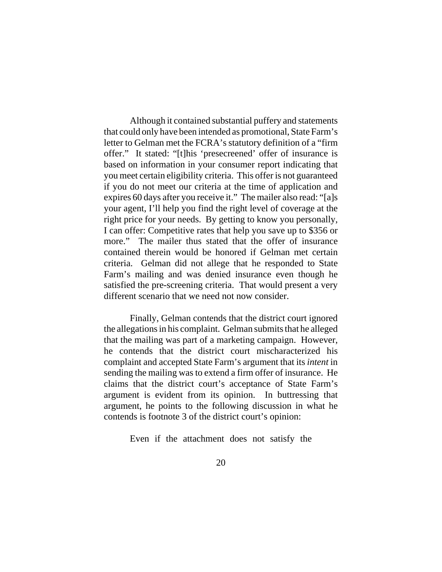Although it contained substantial puffery and statements that could only have been intended as promotional, State Farm's letter to Gelman met the FCRA's statutory definition of a "firm offer." It stated: "[t]his 'presecreened' offer of insurance is based on information in your consumer report indicating that you meet certain eligibility criteria. This offer is not guaranteed if you do not meet our criteria at the time of application and expires 60 days after you receive it." The mailer also read: "[a]s your agent, I'll help you find the right level of coverage at the right price for your needs. By getting to know you personally, I can offer: Competitive rates that help you save up to \$356 or more." The mailer thus stated that the offer of insurance contained therein would be honored if Gelman met certain criteria. Gelman did not allege that he responded to State Farm's mailing and was denied insurance even though he satisfied the pre-screening criteria. That would present a very different scenario that we need not now consider.

Finally, Gelman contends that the district court ignored the allegations in his complaint. Gelman submits that he alleged that the mailing was part of a marketing campaign. However, he contends that the district court mischaracterized his complaint and accepted State Farm's argument that its *intent* in sending the mailing was to extend a firm offer of insurance. He claims that the district court's acceptance of State Farm's argument is evident from its opinion. In buttressing that argument, he points to the following discussion in what he contends is footnote 3 of the district court's opinion:

Even if the attachment does not satisfy the